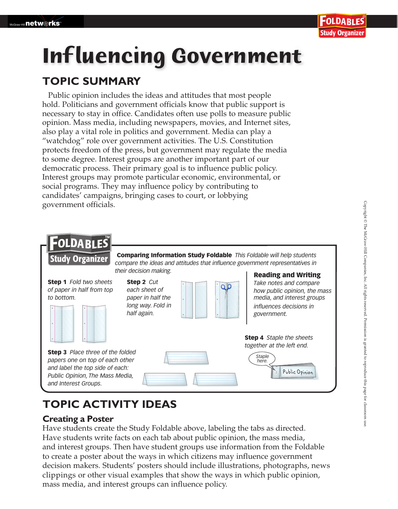# **Inf luencing Government**

## **TOPIC SUMMARY**

Public opinion includes the ideas and attitudes that most people hold. Politicians and government officials know that public support is necessary to stay in office. Candidates often use polls to measure public opinion. Mass media, including newspapers, movies, and Internet sites, also play a vital role in politics and government. Media can play a "watchdog" role over government activities. The U.S. Constitution protects freedom of the press, but government may regulate the media to some degree. Interest groups are another important part of our democratic process. Their primary goal is to influence public policy. Interest groups may promote particular economic, environmental, or social programs. They may influence policy by contributing to candidates' campaigns, bringing cases to court, or lobbying government officials.



# **TOPIC ACTIVITY IDEAS**

## **Creating a Poster**

Have students create the Study Foldable above, labeling the tabs as directed. Have students write facts on each tab about public opinion, the mass media, and interest groups. Then have student groups use information from the Foldable to create a poster about the ways in which citizens may influence government decision makers. Students' posters should include illustrations, photographs, news clippings or other visual examples that show the ways in which public opinion, mass media, and interest groups can influence policy.